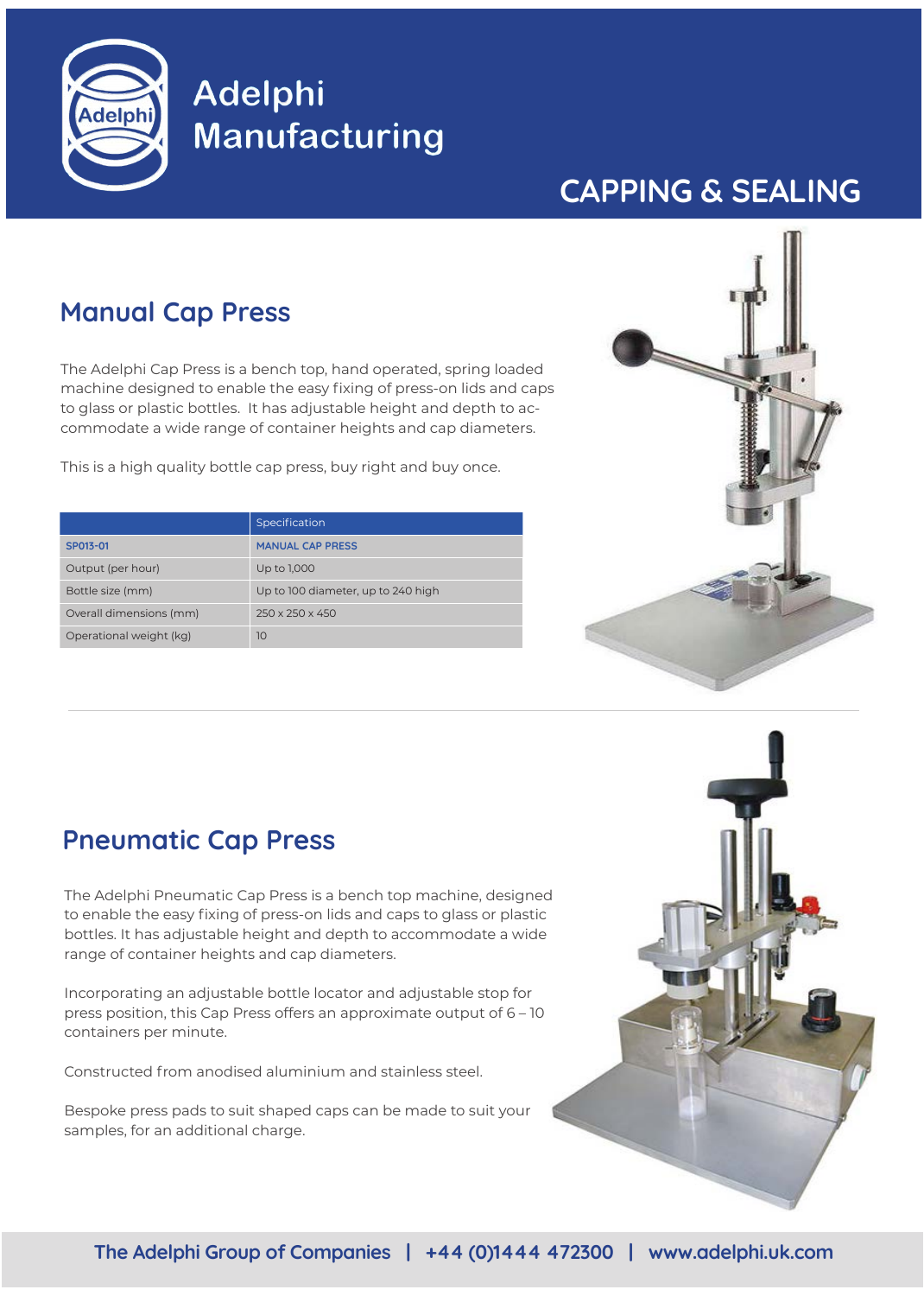

# **Adelphi Manufacturing**

## **CAPPING & SEALING**

### **Manual Cap Press**

The Adelphi Cap Press is a bench top, hand operated, spring loaded machine designed to enable the easy fixing of press-on lids and caps to glass or plastic bottles. It has adjustable height and depth to accommodate a wide range of container heights and cap diameters.

This is a high quality bottle cap press, buy right and buy once.

|                         | Specification                      |
|-------------------------|------------------------------------|
| SP013-01                | <b>MANUAL CAP PRESS</b>            |
| Output (per hour)       | Up to 1,000                        |
| Bottle size (mm)        | Up to 100 diameter, up to 240 high |
| Overall dimensions (mm) | $250 \times 250 \times 450$        |
| Operational weight (kg) | 10                                 |



#### **Pneumatic Cap Press**

The Adelphi Pneumatic Cap Press is a bench top machine, designed to enable the easy fixing of press-on lids and caps to glass or plastic bottles. It has adjustable height and depth to accommodate a wide range of container heights and cap diameters.

Incorporating an adjustable bottle locator and adjustable stop for press position, this Cap Press offers an approximate output of 6 – 10 containers per minute.

Constructed from anodised aluminium and stainless steel.

Bespoke press pads to suit shaped caps can be made to suit your samples, for an additional charge.

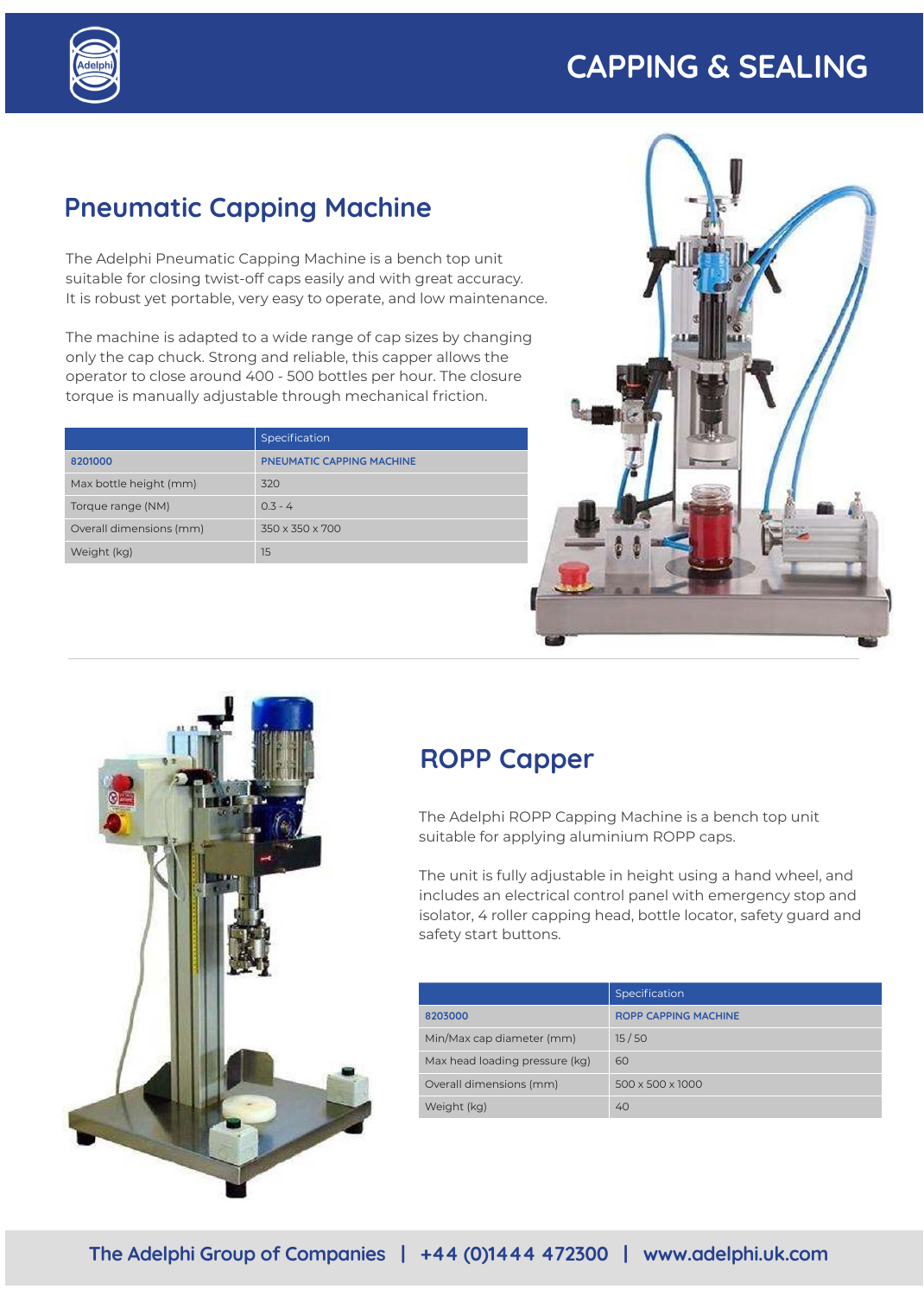## **CAPPING & SEALING**



### **Pneumatic Capping Machine**

The Adelphi Pneumatic Capping Machine is a bench top unit suitable for closing twist-off caps easily and with great accuracy. It is robust yet portable, very easy to operate, and low maintenance.

The machine is adapted to a wide range of cap sizes by changing only the cap chuck. Strong and reliable, this capper allows the operator to close around 400 - 500 bottles per hour. The closure torque is manually adjustable through mechanical friction.

|                         | Specification                    |
|-------------------------|----------------------------------|
| 8201000                 | <b>PNEUMATIC CAPPING MACHINE</b> |
| Max bottle height (mm)  | 320                              |
| Torque range (NM)       | $0.3 - 4$                        |
| Overall dimensions (mm) | 350 x 350 x 700                  |
| Weight (kg)             | 15                               |





#### **ROPP Capper**

The Adelphi ROPP Capping Machine is a bench top unit suitable for applying aluminium ROPP caps.

The unit is fully adjustable in height using a hand wheel, and includes an electrical control panel with emergency stop and isolator, 4 roller capping head, bottle locator, safety guard and safety start buttons.

|                                | Specification               |
|--------------------------------|-----------------------------|
| 8203000                        | <b>ROPP CAPPING MACHINE</b> |
| Min/Max cap diameter (mm)      | 15/50                       |
| Max head loading pressure (kg) | 60                          |
| Overall dimensions (mm)        | 500 x 500 x 1000            |
| Weight (kg)                    | 40                          |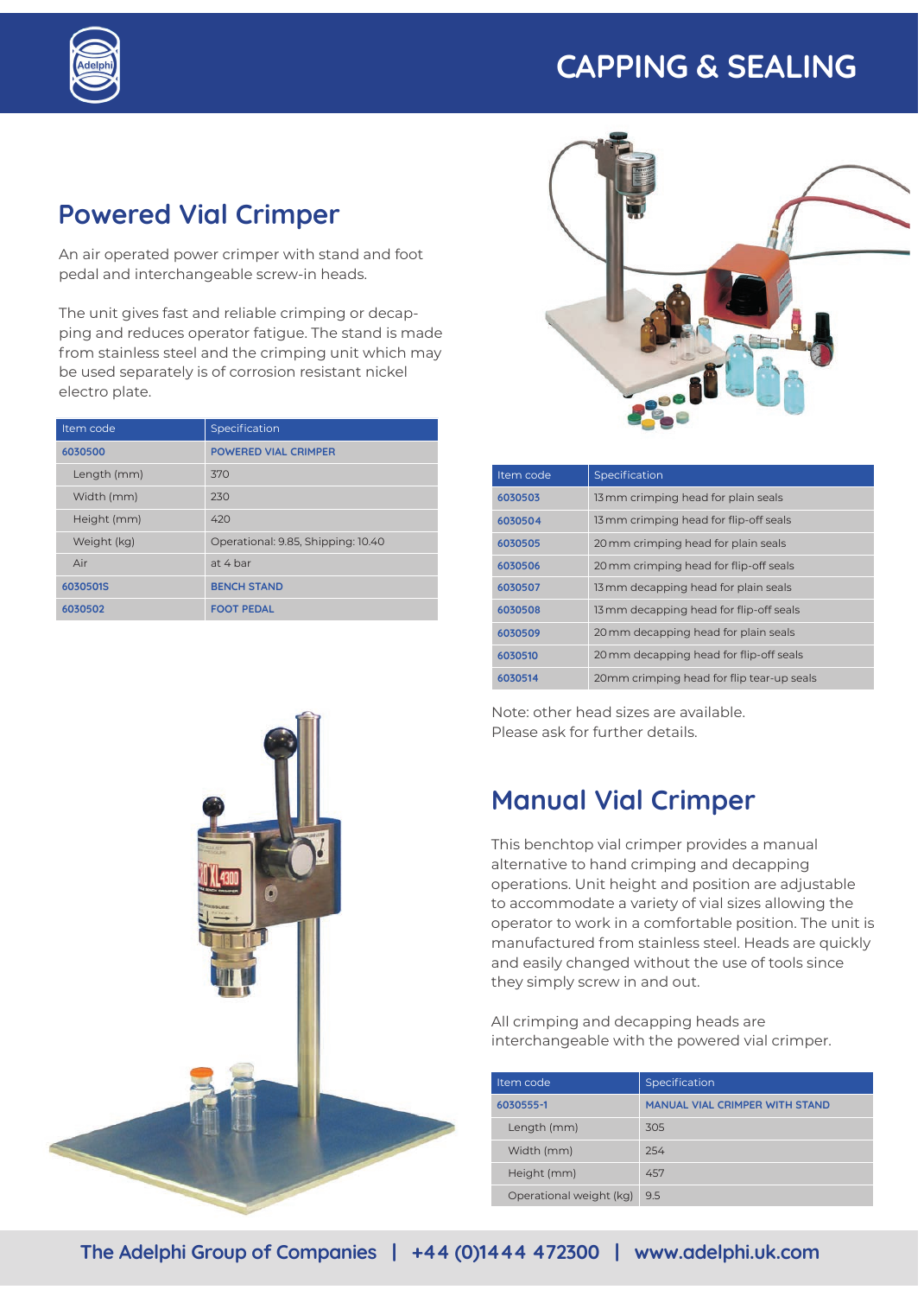## **CAPPING & SEALING**



#### **Powered Vial Crimper**

An air operated power crimper with stand and foot pedal and interchangeable screw-in heads.

The unit gives fast and reliable crimping or decapping and reduces operator fatigue. The stand is made from stainless steel and the crimping unit which may be used separately is of corrosion resistant nickel electro plate.

| Item code   | Specification                      |
|-------------|------------------------------------|
| 6030500     | <b>POWERED VIAL CRIMPER</b>        |
| Length (mm) | 370                                |
| Width (mm)  | 230                                |
| Height (mm) | 420                                |
| Weight (kg) | Operational: 9.85, Shipping: 10.40 |
| Air         | at 4 bar                           |
| 6030501S    | <b>BENCH STAND</b>                 |
| 6030502     | <b>FOOT PEDAL</b>                  |



| Item code | Specification                             |
|-----------|-------------------------------------------|
| 6030503   | 13 mm crimping head for plain seals       |
| 6030504   | 13 mm crimping head for flip-off seals    |
| 6030505   | 20 mm crimping head for plain seals       |
| 6030506   | 20 mm crimping head for flip-off seals    |
| 6030507   | 13 mm decapping head for plain seals      |
| 6030508   | 13 mm decapping head for flip-off seals   |
| 6030509   | 20 mm decapping head for plain seals      |
| 6030510   | 20 mm decapping head for flip-off seals   |
| 6030514   | 20mm crimping head for flip tear-up seals |

Note: other head sizes are available. Please ask for further details.

#### **Manual Vial Crimper**

This benchtop vial crimper provides a manual alternative to hand crimping and decapping operations. Unit height and position are adjustable to accommodate a variety of vial sizes allowing the operator to work in a comfortable position. The unit is manufactured from stainless steel. Heads are quickly and easily changed without the use of tools since they simply screw in and out.

All crimping and decapping heads are interchangeable with the powered vial crimper.

| Item code               | Specification                         |
|-------------------------|---------------------------------------|
| 6030555-1               | <b>MANUAL VIAL CRIMPER WITH STAND</b> |
| Length (mm)             | 305                                   |
| Width (mm)              | 254                                   |
| Height (mm)             | 457                                   |
| Operational weight (kg) | 9.5                                   |

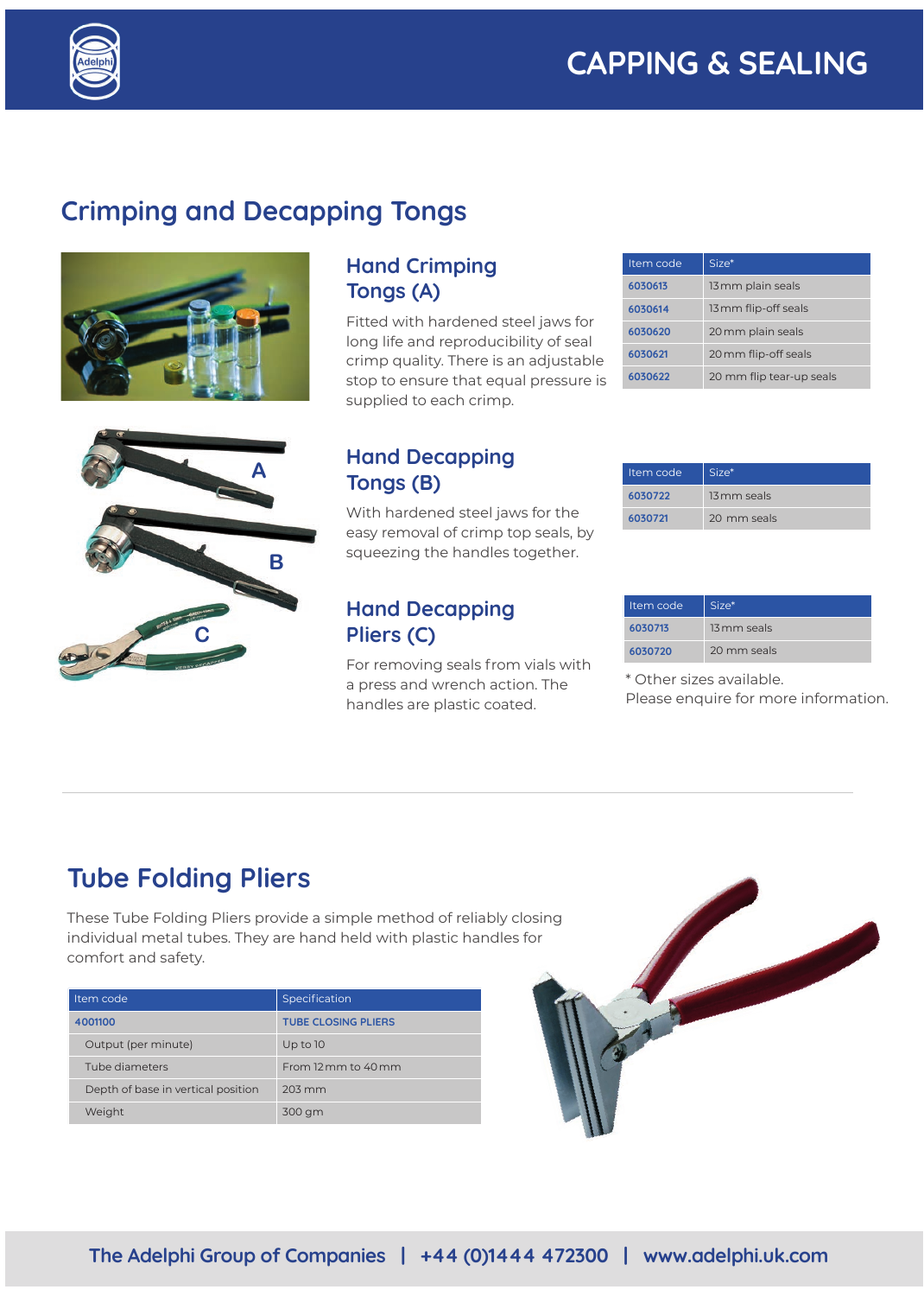

### **Crimping and Decapping Tongs**



#### **Hand Crimping Tongs (A)**

Fitted with hardened steel jaws for long life and reproducibility of seal crimp quality. There is an adjustable stop to ensure that equal pressure is supplied to each crimp.

| Item code | Size*                    |
|-----------|--------------------------|
| 6030613   | 13 mm plain seals        |
| 6030614   | 13 mm flip-off seals     |
| 6030620   | 20 mm plain seals        |
| 6030621   | 20 mm flip-off seals     |
| 6030622   | 20 mm flip tear-up seals |



#### **Hand Decapping Tongs (B)**

With hardened steel jaws for the easy removal of crimp top seals, by squeezing the handles together.

#### **Hand Decapping Pliers (C)**

For removing seals from vials with a press and wrench action. The handles are plastic coated.

| 6030721 | 20 mm seals |
|---------|-------------|
|         |             |
|         |             |
|         |             |

| Item code | Size*       |
|-----------|-------------|
| 6030713   | 13 mm seals |
| 6030720   | 20 mm seals |

\* Other sizes available.

Item code  $\Big|$  Size\* **6030722** 13 mm seals

Please enquire for more information.

#### **Tube Folding Pliers**

These Tube Folding Pliers provide a simple method of reliably closing individual metal tubes. They are hand held with plastic handles for comfort and safety.

| Item code                          | Specification                |
|------------------------------------|------------------------------|
| 4001100                            | <b>TUBE CLOSING PLIERS</b>   |
| Output (per minute)                | Up to $10$                   |
| Tube diameters                     | From 12 mm to $40 \text{mm}$ |
| Depth of base in vertical position | 203 mm                       |
| Weight                             | 300 gm                       |